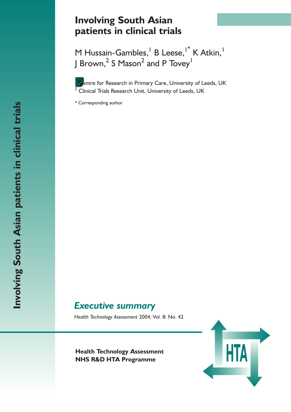# **Involving South Asian patients in clinical trials**

M Hussain-Gambles, <sup>1</sup> B Leese, <sup>1\*</sup> K Atkin, <sup>1</sup> J Brown, $^2$  S Mason $^2$  and P Tovey $^{\mathsf{I}}$ 

Intre for Research in Primary Care, University of Leeds, UK  $\sqrt[2]{2}$  Clinical Trials Research Unit, University of Leeds, UK

\* Corresponding author

# *Executive summary*

*Health Technology Assessment* 2004; Vol. 8: No. 42

**Health Technology Assessment**<br>
NHS R&D HTA Programme **NHS R&D HTA Programme**

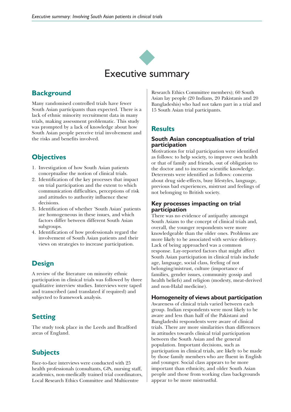

### **Background**

Many randomised controlled trials have fewer South Asian participants than expected. There is a lack of ethnic minority recruitment data in many trials, making assessment problematic. This study was prompted by a lack of knowledge about how South Asian people perceive trial involvement and the risks and benefits involved.

### **Objectives**

- 1. Investigation of how South Asian patients conceptualise the notion of clinical trials.
- 2. Identification of the key processes that impact on trial participation and the extent to which communication difficulties, perceptions of risk and attitudes to authority influence these decisions.
- 3. Identification of whether 'South Asian' patients are homogeneous in these issues, and which factors differ between different South Asian subgroups.
- 4. Identification of how professionals regard the involvement of South Asian patients and their views on strategies to increase participation.

### **Design**

A review of the literature on minority ethnic participation in clinical trials was followed by three qualitative interview studies. Interviews were taped and transcribed (and translated if required) and subjected to framework analysis.

## **Setting**

The study took place in the Leeds and Bradford areas of England.

### **Subjects**

Face-to-face interviews were conducted with 25 health professionals (consultants, GPs, nursing staff, academics, non-medically trained trial coordinators, Local Research Ethics Committee and Multicentre

Research Ethics Committee members); 60 South Asian lay people (20 Indians, 20 Pakistanis and 20 Bangladeshis) who had not taken part in a trial and 15 South Asian trial participants.

### **Results**

#### **South Asian conceptualisation of trial participation**

Motivations for trial participation were identified as follows: to help society, to improve own health or that of family and friends, out of obligation to the doctor and to increase scientific knowledge. Deterrents were identified as follows: concerns about drug side-effects, busy lifestyles, language, previous bad experiences, mistrust and feelings of not belonging to British society.

### **Key processes impacting on trial participation**

There was no evidence of antipathy amongst South Asians to the concept of clinical trials and, overall, the younger respondents were more knowledgeable than the older ones. Problems are more likely to be associated with service delivery. Lack of being approached was a common response. Lay-reported factors that might affect South Asian participation in clinical trials include age, language, social class, feeling of not belonging/mistrust, culture (importance of families, gender issues, community gossip and health beliefs) and religion (modesty, meat-derived and non-Halal medicine).

### **Homogeneity of views about participation**

Awareness of clinical trials varied between each group. Indian respondents were most likely to be aware and less than half of the Pakistani and Bangladeshi respondents were aware of clinical trials. There are more similarities than differences in attitudes towards clinical trial participation between the South Asian and the general population. Important decisions, such as participation in clinical trials, are likely to be made by those family members who are fluent in English and younger. Social class appears to be more important than ethnicity, and older South Asian people and those from working class backgrounds appear to be more mistrustful.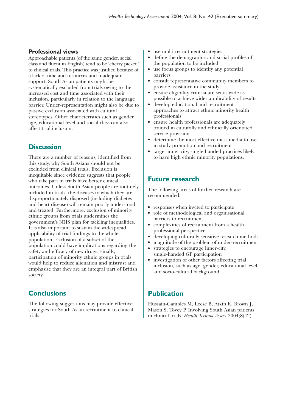### **Professional views**

Approachable patients (of the same gender, social class and fluent in English) tend to be 'cherry picked' to clinical trials. This practice was justified because of a lack of time and resources and inadequate support. South Asian patients might be systematically excluded from trials owing to the increased cost and time associated with their inclusion, particularly in relation to the language barrier. Under-representation might also be due to passive exclusion associated with cultural stereotypes. Other characteristics such as gender, age, educational level and social class can also affect trial inclusion.

## **Discussion**

There are a number of reasons, identified from this study, why South Asians should not be excluded from clinical trials. Exclusion is inequitable since evidence suggests that people who take part in trials have better clinical outcomes. Unless South Asian people are routinely included in trials, the diseases to which they are disproportionately disposed (including diabetes and heart disease) will remain poorly understood and treated. Furthermore, exclusion of minority ethnic groups from trials undermines the government's NHS plan for tackling inequalities. It is also important to sustain the widespread applicability of trial findings to the whole population. Exclusion of a subset of the population could have implications regarding the safety and efficacy of new drugs. Finally, participation of minority ethnic groups in trials would help to reduce alienation and mistrust and emphasise that they are an integral part of British society.

## **Conclusions**

The following suggestions may provide effective strategies for South Asian recruitment to clinical trials:

- use multi-recruitment strategies
- define the demographic and social profiles of the population to be included
- use focus groups to identify any potential barriers
- consult representative community members to provide assistance in the study
- ensure eligibility criteria are set as wide as possible to achieve wider applicability of results
- develop educational and recruitment approaches to attract ethnic minority health professionals
- ensure health professionals are adequately trained in culturally and ethnically orientated service provision
- determine the most effective mass media to use in study promotion and recruitment
- target inner-city, single-handed practices likely to have high ethnic minority populations.

### **Future research**

The following areas of further research are recommended:

- responses when invited to participate
- role of methodological and organisational barriers to recruitment
- complexities of recruitment from a health professional perspective
- developing culturally sensitive research methods
- magnitude of the problem of under-recruitment
- strategies to encourage inner-city, single-handed GP participation
- investigation of other factors affecting trial inclusion, such as age, gender, educational level and socio-cultural background.

### **Publication**

Hussain-Gambles M, Leese B, Atkin K, Brown J, Mason S, Tovey P. Involving South Asian patients in clinical trials. *Health Technol Assess* 2004;**8**(42).